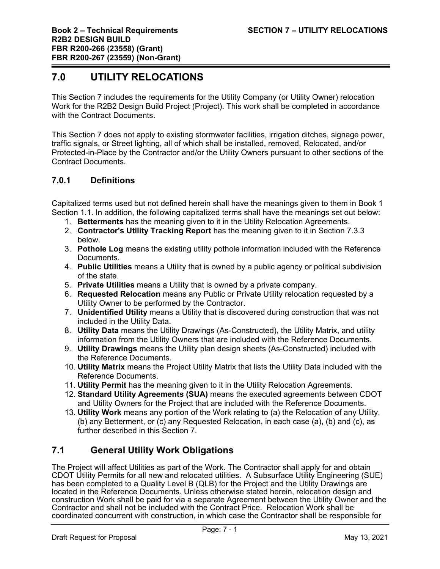# **7.0 UTILITY RELOCATIONS**

This Section 7 includes the requirements for the Utility Company (or Utility Owner) relocation Work for the R2B2 Design Build Project (Project). This work shall be completed in accordance with the Contract Documents.

This Section 7 does not apply to existing stormwater facilities, irrigation ditches, signage power, traffic signals, or Street lighting, all of which shall be installed, removed, Relocated, and/or Protected-in-Place by the Contractor and/or the Utility Owners pursuant to other sections of the Contract Documents.

# **7.0.1 Definitions**

Capitalized terms used but not defined herein shall have the meanings given to them in Book 1 Section 1.1. In addition, the following capitalized terms shall have the meanings set out below:

- 1. **Betterments** has the meaning given to it in the Utility Relocation Agreements.
- 2. **Contractor's Utility Tracking Report** has the meaning given to it in Section 7.3.3 below.
- 3. **Pothole Log** means the existing utility pothole information included with the Reference Documents.
- 4. **Public Utilities** means a Utility that is owned by a public agency or political subdivision of the state.
- 5. **Private Utilities** means a Utility that is owned by a private company.
- 6. **Requested Relocation** means any Public or Private Utility relocation requested by a Utility Owner to be performed by the Contractor.
- 7. **Unidentified Utility** means a Utility that is discovered during construction that was not included in the Utility Data.
- 8. **Utility Data** means the Utility Drawings (As-Constructed), the Utility Matrix, and utility information from the Utility Owners that are included with the Reference Documents.
- 9. **Utility Drawings** means the Utility plan design sheets (As-Constructed) included with the Reference Documents.
- 10. **Utility Matrix** means the Project Utility Matrix that lists the Utility Data included with the Reference Documents.
- 11. **Utility Permit** has the meaning given to it in the Utility Relocation Agreements.
- 12. **Standard Utility Agreements (SUA)** means the executed agreements between CDOT and Utility Owners for the Project that are included with the Reference Documents.
- 13. **Utility Work** means any portion of the Work relating to (a) the Relocation of any Utility, (b) any Betterment, or (c) any Requested Relocation, in each case (a), (b) and (c), as further described in this Section 7.

# **7.1 General Utility Work Obligations**

The Project will affect Utilities as part of the Work. The Contractor shall apply for and obtain CDOT Utility Permits for all new and relocated utilities. A Subsurface Utility Engineering (SUE) has been completed to a Quality Level B (QLB) for the Project and the Utility Drawings are located in the Reference Documents. Unless otherwise stated herein, relocation design and construction Work shall be paid for via a separate Agreement between the Utility Owner and the Contractor and shall not be included with the Contract Price. Relocation Work shall be coordinated concurrent with construction, in which case the Contractor shall be responsible for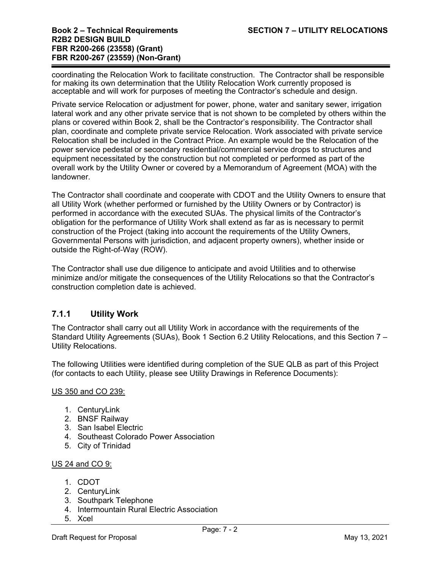coordinating the Relocation Work to facilitate construction. The Contractor shall be responsible for making its own determination that the Utility Relocation Work currently proposed is acceptable and will work for purposes of meeting the Contractor's schedule and design.

Private service Relocation or adjustment for power, phone, water and sanitary sewer, irrigation lateral work and any other private service that is not shown to be completed by others within the plans or covered within Book 2, shall be the Contractor's responsibility. The Contractor shall plan, coordinate and complete private service Relocation. Work associated with private service Relocation shall be included in the Contract Price. An example would be the Relocation of the power service pedestal or secondary residential/commercial service drops to structures and equipment necessitated by the construction but not completed or performed as part of the overall work by the Utility Owner or covered by a Memorandum of Agreement (MOA) with the landowner.

The Contractor shall coordinate and cooperate with CDOT and the Utility Owners to ensure that all Utility Work (whether performed or furnished by the Utility Owners or by Contractor) is performed in accordance with the executed SUAs. The physical limits of the Contractor's obligation for the performance of Utility Work shall extend as far as is necessary to permit construction of the Project (taking into account the requirements of the Utility Owners, Governmental Persons with jurisdiction, and adjacent property owners), whether inside or outside the Right-of-Way (ROW).

The Contractor shall use due diligence to anticipate and avoid Utilities and to otherwise minimize and/or mitigate the consequences of the Utility Relocations so that the Contractor's construction completion date is achieved.

# **7.1.1 Utility Work**

The Contractor shall carry out all Utility Work in accordance with the requirements of the Standard Utility Agreements (SUAs), Book 1 Section 6.2 Utility Relocations, and this Section 7 – Utility Relocations.

The following Utilities were identified during completion of the SUE QLB as part of this Project (for contacts to each Utility, please see Utility Drawings in Reference Documents):

#### US 350 and CO 239:

- 1. CenturyLink
- 2. BNSF Railway
- 3. San Isabel Electric
- 4. Southeast Colorado Power Association
- 5. City of Trinidad

#### US 24 and CO 9:

- 1. CDOT
- 2. CenturyLink
- 3. Southpark Telephone
- 4. Intermountain Rural Electric Association
- 5. Xcel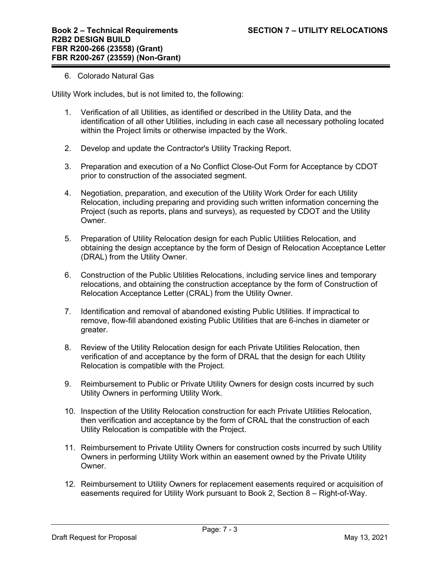#### 6. Colorado Natural Gas

Utility Work includes, but is not limited to, the following:

- 1. Verification of all Utilities, as identified or described in the Utility Data, and the identification of all other Utilities, including in each case all necessary potholing located within the Project limits or otherwise impacted by the Work.
- 2. Develop and update the Contractor's Utility Tracking Report.
- 3. Preparation and execution of a No Conflict Close-Out Form for Acceptance by CDOT prior to construction of the associated segment.
- 4. Negotiation, preparation, and execution of the Utility Work Order for each Utility Relocation, including preparing and providing such written information concerning the Project (such as reports, plans and surveys), as requested by CDOT and the Utility Owner.
- 5. Preparation of Utility Relocation design for each Public Utilities Relocation, and obtaining the design acceptance by the form of Design of Relocation Acceptance Letter (DRAL) from the Utility Owner.
- 6. Construction of the Public Utilities Relocations, including service lines and temporary relocations, and obtaining the construction acceptance by the form of Construction of Relocation Acceptance Letter (CRAL) from the Utility Owner.
- 7. Identification and removal of abandoned existing Public Utilities. If impractical to remove, flow-fill abandoned existing Public Utilities that are 6-inches in diameter or greater.
- 8. Review of the Utility Relocation design for each Private Utilities Relocation, then verification of and acceptance by the form of DRAL that the design for each Utility Relocation is compatible with the Project.
- 9. Reimbursement to Public or Private Utility Owners for design costs incurred by such Utility Owners in performing Utility Work.
- 10. Inspection of the Utility Relocation construction for each Private Utilities Relocation, then verification and acceptance by the form of CRAL that the construction of each Utility Relocation is compatible with the Project.
- 11. Reimbursement to Private Utility Owners for construction costs incurred by such Utility Owners in performing Utility Work within an easement owned by the Private Utility Owner.
- 12. Reimbursement to Utility Owners for replacement easements required or acquisition of easements required for Utility Work pursuant to Book 2, Section 8 – Right-of-Way.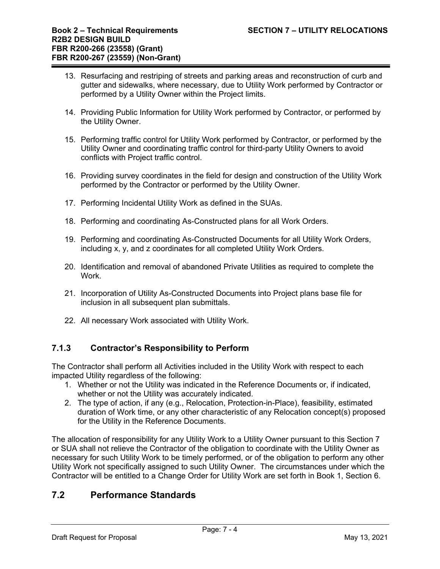- 13. Resurfacing and restriping of streets and parking areas and reconstruction of curb and gutter and sidewalks, where necessary, due to Utility Work performed by Contractor or performed by a Utility Owner within the Project limits.
- 14. Providing Public Information for Utility Work performed by Contractor, or performed by the Utility Owner.
- 15. Performing traffic control for Utility Work performed by Contractor, or performed by the Utility Owner and coordinating traffic control for third-party Utility Owners to avoid conflicts with Project traffic control.
- 16. Providing survey coordinates in the field for design and construction of the Utility Work performed by the Contractor or performed by the Utility Owner.
- 17. Performing Incidental Utility Work as defined in the SUAs.
- 18. Performing and coordinating As-Constructed plans for all Work Orders.
- 19. Performing and coordinating As-Constructed Documents for all Utility Work Orders, including x, y, and z coordinates for all completed Utility Work Orders.
- 20. Identification and removal of abandoned Private Utilities as required to complete the Work.
- 21. Incorporation of Utility As-Constructed Documents into Project plans base file for inclusion in all subsequent plan submittals.
- 22. All necessary Work associated with Utility Work.

# **7.1.3 Contractor's Responsibility to Perform**

The Contractor shall perform all Activities included in the Utility Work with respect to each impacted Utility regardless of the following:

- 1. Whether or not the Utility was indicated in the Reference Documents or, if indicated, whether or not the Utility was accurately indicated.
- 2. The type of action, if any (e.g., Relocation, Protection-in-Place), feasibility, estimated duration of Work time, or any other characteristic of any Relocation concept(s) proposed for the Utility in the Reference Documents.

The allocation of responsibility for any Utility Work to a Utility Owner pursuant to this Section 7 or SUA shall not relieve the Contractor of the obligation to coordinate with the Utility Owner as necessary for such Utility Work to be timely performed, or of the obligation to perform any other Utility Work not specifically assigned to such Utility Owner. The circumstances under which the Contractor will be entitled to a Change Order for Utility Work are set forth in Book 1, Section 6.

# **7.2 Performance Standards**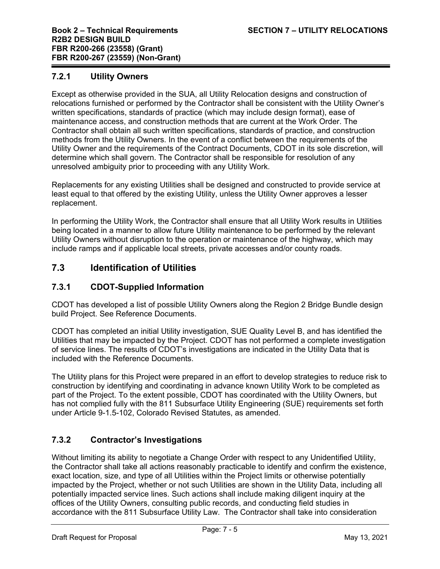### **7.2.1 Utility Owners**

Except as otherwise provided in the SUA, all Utility Relocation designs and construction of relocations furnished or performed by the Contractor shall be consistent with the Utility Owner's written specifications, standards of practice (which may include design format), ease of maintenance access, and construction methods that are current at the Work Order. The Contractor shall obtain all such written specifications, standards of practice, and construction methods from the Utility Owners. In the event of a conflict between the requirements of the Utility Owner and the requirements of the Contract Documents, CDOT in its sole discretion, will determine which shall govern. The Contractor shall be responsible for resolution of any unresolved ambiguity prior to proceeding with any Utility Work.

Replacements for any existing Utilities shall be designed and constructed to provide service at least equal to that offered by the existing Utility, unless the Utility Owner approves a lesser replacement.

In performing the Utility Work, the Contractor shall ensure that all Utility Work results in Utilities being located in a manner to allow future Utility maintenance to be performed by the relevant Utility Owners without disruption to the operation or maintenance of the highway, which may include ramps and if applicable local streets, private accesses and/or county roads.

# **7.3 Identification of Utilities**

# **7.3.1 CDOT-Supplied Information**

CDOT has developed a list of possible Utility Owners along the Region 2 Bridge Bundle design build Project. See Reference Documents.

CDOT has completed an initial Utility investigation, SUE Quality Level B, and has identified the Utilities that may be impacted by the Project. CDOT has not performed a complete investigation of service lines. The results of CDOT's investigations are indicated in the Utility Data that is included with the Reference Documents.

The Utility plans for this Project were prepared in an effort to develop strategies to reduce risk to construction by identifying and coordinating in advance known Utility Work to be completed as part of the Project. To the extent possible, CDOT has coordinated with the Utility Owners, but has not complied fully with the 811 Subsurface Utility Engineering (SUE) requirements set forth under Article 9-1.5-102, Colorado Revised Statutes, as amended.

# **7.3.2 Contractor's Investigations**

Without limiting its ability to negotiate a Change Order with respect to any Unidentified Utility, the Contractor shall take all actions reasonably practicable to identify and confirm the existence, exact location, size, and type of all Utilities within the Project limits or otherwise potentially impacted by the Project, whether or not such Utilities are shown in the Utility Data, including all potentially impacted service lines. Such actions shall include making diligent inquiry at the offices of the Utility Owners, consulting public records, and conducting field studies in accordance with the 811 Subsurface Utility Law. The Contractor shall take into consideration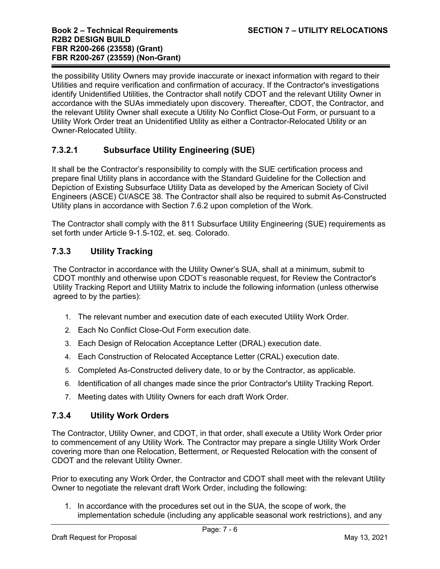the possibility Utility Owners may provide inaccurate or inexact information with regard to their Utilities and require verification and confirmation of accuracy. If the Contractor's investigations identify Unidentified Utilities, the Contractor shall notify CDOT and the relevant Utility Owner in accordance with the SUAs immediately upon discovery. Thereafter, CDOT, the Contractor, and the relevant Utility Owner shall execute a Utility No Conflict Close-Out Form, or pursuant to a Utility Work Order treat an Unidentified Utility as either a Contractor-Relocated Utility or an Owner-Relocated Utility.

# **7.3.2.1 Subsurface Utility Engineering (SUE)**

It shall be the Contractor's responsibility to comply with the SUE certification process and prepare final Utility plans in accordance with the Standard Guideline for the Collection and Depiction of Existing Subsurface Utility Data as developed by the American Society of Civil Engineers (ASCE) CI/ASCE 38. The Contractor shall also be required to submit As-Constructed Utility plans in accordance with Section 7.6.2 upon completion of the Work.

The Contractor shall comply with the 811 Subsurface Utility Engineering (SUE) requirements as set forth under Article 9-1.5-102, et. seq. Colorado.

# **7.3.3 Utility Tracking**

The Contractor in accordance with the Utility Owner's SUA, shall at a minimum, submit to CDOT monthly and otherwise upon CDOT's reasonable request, for Review the Contractor's Utility Tracking Report and Utility Matrix to include the following information (unless otherwise agreed to by the parties):

- 1. The relevant number and execution date of each executed Utility Work Order.
- 2. Each No Conflict Close-Out Form execution date.
- 3. Each Design of Relocation Acceptance Letter (DRAL) execution date.
- 4. Each Construction of Relocated Acceptance Letter (CRAL) execution date.
- 5. Completed As-Constructed delivery date, to or by the Contractor, as applicable.
- 6. Identification of all changes made since the prior Contractor's Utility Tracking Report.
- 7. Meeting dates with Utility Owners for each draft Work Order.

#### **7.3.4 Utility Work Orders**

The Contractor, Utility Owner, and CDOT, in that order, shall execute a Utility Work Order prior to commencement of any Utility Work. The Contractor may prepare a single Utility Work Order covering more than one Relocation, Betterment, or Requested Relocation with the consent of CDOT and the relevant Utility Owner.

Prior to executing any Work Order, the Contractor and CDOT shall meet with the relevant Utility Owner to negotiate the relevant draft Work Order, including the following:

1. In accordance with the procedures set out in the SUA, the scope of work, the implementation schedule (including any applicable seasonal work restrictions), and any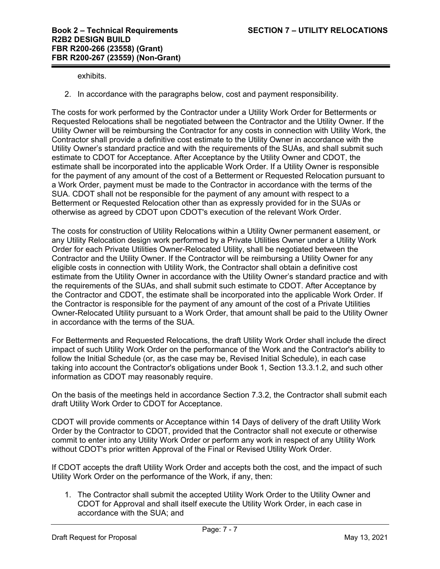exhibits.

2. In accordance with the paragraphs below, cost and payment responsibility.

The costs for work performed by the Contractor under a Utility Work Order for Betterments or Requested Relocations shall be negotiated between the Contractor and the Utility Owner. If the Utility Owner will be reimbursing the Contractor for any costs in connection with Utility Work, the Contractor shall provide a definitive cost estimate to the Utility Owner in accordance with the Utility Owner's standard practice and with the requirements of the SUAs, and shall submit such estimate to CDOT for Acceptance. After Acceptance by the Utility Owner and CDOT, the estimate shall be incorporated into the applicable Work Order. If a Utility Owner is responsible for the payment of any amount of the cost of a Betterment or Requested Relocation pursuant to a Work Order, payment must be made to the Contractor in accordance with the terms of the SUA. CDOT shall not be responsible for the payment of any amount with respect to a Betterment or Requested Relocation other than as expressly provided for in the SUAs or otherwise as agreed by CDOT upon CDOT's execution of the relevant Work Order.

The costs for construction of Utility Relocations within a Utility Owner permanent easement, or any Utility Relocation design work performed by a Private Utilities Owner under a Utility Work Order for each Private Utilities Owner-Relocated Utility, shall be negotiated between the Contractor and the Utility Owner. If the Contractor will be reimbursing a Utility Owner for any eligible costs in connection with Utility Work, the Contractor shall obtain a definitive cost estimate from the Utility Owner in accordance with the Utility Owner's standard practice and with the requirements of the SUAs, and shall submit such estimate to CDOT. After Acceptance by the Contractor and CDOT, the estimate shall be incorporated into the applicable Work Order. If the Contractor is responsible for the payment of any amount of the cost of a Private Utilities Owner-Relocated Utility pursuant to a Work Order, that amount shall be paid to the Utility Owner in accordance with the terms of the SUA.

For Betterments and Requested Relocations, the draft Utility Work Order shall include the direct impact of such Utility Work Order on the performance of the Work and the Contractor's ability to follow the Initial Schedule (or, as the case may be, Revised Initial Schedule), in each case taking into account the Contractor's obligations under Book 1, Section 13.3.1.2, and such other information as CDOT may reasonably require.

On the basis of the meetings held in accordance Section 7.3.2, the Contractor shall submit each draft Utility Work Order to CDOT for Acceptance.

CDOT will provide comments or Acceptance within 14 Days of delivery of the draft Utility Work Order by the Contractor to CDOT, provided that the Contractor shall not execute or otherwise commit to enter into any Utility Work Order or perform any work in respect of any Utility Work without CDOT's prior written Approval of the Final or Revised Utility Work Order.

If CDOT accepts the draft Utility Work Order and accepts both the cost, and the impact of such Utility Work Order on the performance of the Work, if any, then:

1. The Contractor shall submit the accepted Utility Work Order to the Utility Owner and CDOT for Approval and shall itself execute the Utility Work Order, in each case in accordance with the SUA; and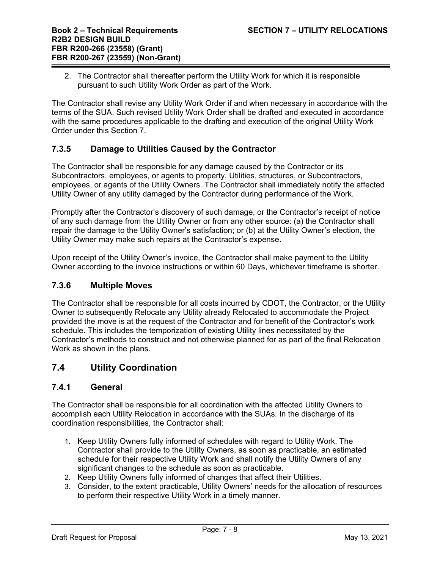2. The Contractor shall thereafter perform the Utility Work for which it is responsible pursuant to such Utility Work Order as part of the Work.

The Contractor shall revise any Utility Work Order if and when necessary in accordance with the terms of the SUA. Such revised Utility Work Order shall be drafted and executed in accordance with the same procedures applicable to the drafting and execution of the original Utility Work Order under this Section 7.

### **7.3.5 Damage to Utilities Caused by the Contractor**

The Contractor shall be responsible for any damage caused by the Contractor or its Subcontractors, employees, or agents to property, Utilities, structures, or Subcontractors, employees, or agents of the Utility Owners. The Contractor shall immediately notify the affected Utility Owner of any utility damaged by the Contractor during performance of the Work.

Promptly after the Contractor's discovery of such damage, or the Contractor's receipt of notice of any such damage from the Utility Owner or from any other source: (a) the Contractor shall repair the damage to the Utility Owner's satisfaction; or (b) at the Utility Owner's election, the Utility Owner may make such repairs at the Contractor's expense.

Upon receipt of the Utility Owner's invoice, the Contractor shall make payment to the Utility Owner according to the invoice instructions or within 60 Days, whichever timeframe is shorter.

#### **7.3.6 Multiple Moves**

The Contractor shall be responsible for all costs incurred by CDOT, the Contractor, or the Utility Owner to subsequently Relocate any Utility already Relocated to accommodate the Project provided the move is at the request of the Contractor and for benefit of the Contractor's work schedule. This includes the temporization of existing Utility lines necessitated by the Contractor's methods to construct and not otherwise planned for as part of the final Relocation Work as shown in the plans.

# **7.4 Utility Coordination**

#### **7.4.1 General**

The Contractor shall be responsible for all coordination with the affected Utility Owners to accomplish each Utility Relocation in accordance with the SUAs. In the discharge of its coordination responsibilities, the Contractor shall:

- 1. Keep Utility Owners fully informed of schedules with regard to Utility Work. The Contractor shall provide to the Utility Owners, as soon as practicable, an estimated schedule for their respective Utility Work and shall notify the Utility Owners of any significant changes to the schedule as soon as practicable.
- 2. Keep Utility Owners fully informed of changes that affect their Utilities.
- 3. Consider, to the extent practicable, Utility Owners' needs for the allocation of resources to perform their respective Utility Work in a timely manner.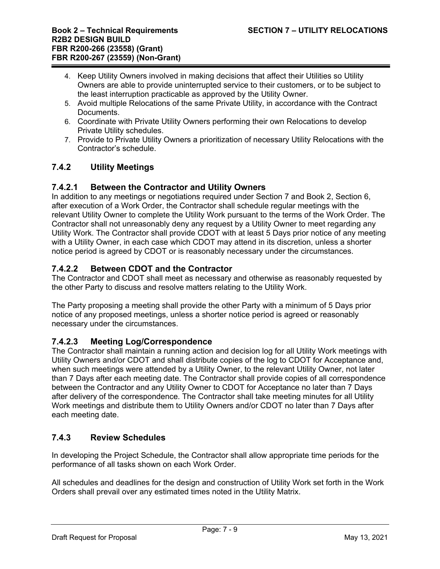- 4. Keep Utility Owners involved in making decisions that affect their Utilities so Utility Owners are able to provide uninterrupted service to their customers, or to be subject to the least interruption practicable as approved by the Utility Owner.
- 5. Avoid multiple Relocations of the same Private Utility, in accordance with the Contract **Documents**
- 6. Coordinate with Private Utility Owners performing their own Relocations to develop Private Utility schedules.
- 7. Provide to Private Utility Owners a prioritization of necessary Utility Relocations with the Contractor's schedule.

# **7.4.2 Utility Meetings**

# **7.4.2.1 Between the Contractor and Utility Owners**

In addition to any meetings or negotiations required under Section 7 and Book 2, Section 6, after execution of a Work Order, the Contractor shall schedule regular meetings with the relevant Utility Owner to complete the Utility Work pursuant to the terms of the Work Order. The Contractor shall not unreasonably deny any request by a Utility Owner to meet regarding any Utility Work. The Contractor shall provide CDOT with at least 5 Days prior notice of any meeting with a Utility Owner, in each case which CDOT may attend in its discretion, unless a shorter notice period is agreed by CDOT or is reasonably necessary under the circumstances.

# **7.4.2.2 Between CDOT and the Contractor**

The Contractor and CDOT shall meet as necessary and otherwise as reasonably requested by the other Party to discuss and resolve matters relating to the Utility Work.

The Party proposing a meeting shall provide the other Party with a minimum of 5 Days prior notice of any proposed meetings, unless a shorter notice period is agreed or reasonably necessary under the circumstances.

# **7.4.2.3 Meeting Log/Correspondence**

The Contractor shall maintain a running action and decision log for all Utility Work meetings with Utility Owners and/or CDOT and shall distribute copies of the log to CDOT for Acceptance and, when such meetings were attended by a Utility Owner, to the relevant Utility Owner, not later than 7 Days after each meeting date. The Contractor shall provide copies of all correspondence between the Contractor and any Utility Owner to CDOT for Acceptance no later than 7 Days after delivery of the correspondence. The Contractor shall take meeting minutes for all Utility Work meetings and distribute them to Utility Owners and/or CDOT no later than 7 Days after each meeting date.

# **7.4.3 Review Schedules**

In developing the Project Schedule, the Contractor shall allow appropriate time periods for the performance of all tasks shown on each Work Order.

All schedules and deadlines for the design and construction of Utility Work set forth in the Work Orders shall prevail over any estimated times noted in the Utility Matrix.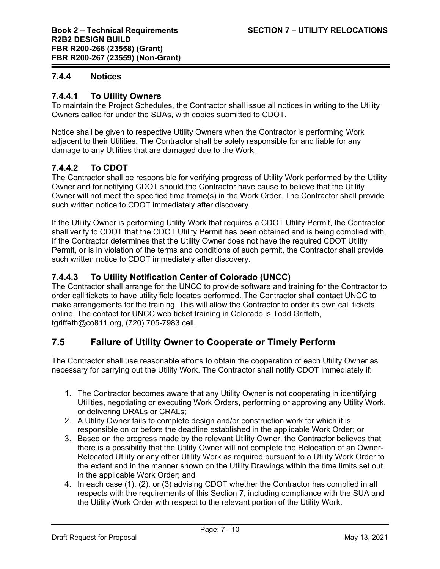### **7.4.4 Notices**

### **7.4.4.1 To Utility Owners**

To maintain the Project Schedules, the Contractor shall issue all notices in writing to the Utility Owners called for under the SUAs, with copies submitted to CDOT.

Notice shall be given to respective Utility Owners when the Contractor is performing Work adjacent to their Utilities. The Contractor shall be solely responsible for and liable for any damage to any Utilities that are damaged due to the Work.

# **7.4.4.2 To CDOT**

The Contractor shall be responsible for verifying progress of Utility Work performed by the Utility Owner and for notifying CDOT should the Contractor have cause to believe that the Utility Owner will not meet the specified time frame(s) in the Work Order. The Contractor shall provide such written notice to CDOT immediately after discovery.

If the Utility Owner is performing Utility Work that requires a CDOT Utility Permit, the Contractor shall verify to CDOT that the CDOT Utility Permit has been obtained and is being complied with. If the Contractor determines that the Utility Owner does not have the required CDOT Utility Permit, or is in violation of the terms and conditions of such permit, the Contractor shall provide such written notice to CDOT immediately after discovery.

# **7.4.4.3 To Utility Notification Center of Colorado (UNCC)**

The Contractor shall arrange for the UNCC to provide software and training for the Contractor to order call tickets to have utility field locates performed. The Contractor shall contact UNCC to make arrangements for the training. This will allow the Contractor to order its own call tickets online. The contact for UNCC web ticket training in Colorado is Todd Griffeth, tgriffeth@co811.org, (720) 705-7983 cell.

# **7.5 Failure of Utility Owner to Cooperate or Timely Perform**

The Contractor shall use reasonable efforts to obtain the cooperation of each Utility Owner as necessary for carrying out the Utility Work. The Contractor shall notify CDOT immediately if:

- 1. The Contractor becomes aware that any Utility Owner is not cooperating in identifying Utilities, negotiating or executing Work Orders, performing or approving any Utility Work, or delivering DRALs or CRALs;
- 2. A Utility Owner fails to complete design and/or construction work for which it is responsible on or before the deadline established in the applicable Work Order; or
- 3. Based on the progress made by the relevant Utility Owner, the Contractor believes that there is a possibility that the Utility Owner will not complete the Relocation of an Owner-Relocated Utility or any other Utility Work as required pursuant to a Utility Work Order to the extent and in the manner shown on the Utility Drawings within the time limits set out in the applicable Work Order; and
- 4. In each case (1), (2), or (3) advising CDOT whether the Contractor has complied in all respects with the requirements of this Section 7, including compliance with the SUA and the Utility Work Order with respect to the relevant portion of the Utility Work.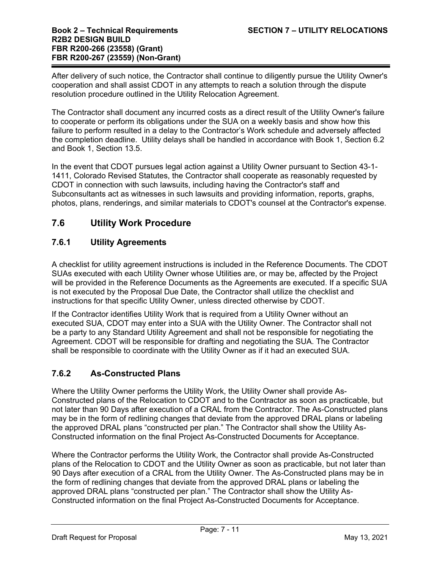After delivery of such notice, the Contractor shall continue to diligently pursue the Utility Owner's cooperation and shall assist CDOT in any attempts to reach a solution through the dispute resolution procedure outlined in the Utility Relocation Agreement.

The Contractor shall document any incurred costs as a direct result of the Utility Owner's failure to cooperate or perform its obligations under the SUA on a weekly basis and show how this failure to perform resulted in a delay to the Contractor's Work schedule and adversely affected the completion deadline. Utility delays shall be handled in accordance with Book 1, Section 6.2 and Book 1, Section 13.5.

In the event that CDOT pursues legal action against a Utility Owner pursuant to Section 43-1- 1411, Colorado Revised Statutes, the Contractor shall cooperate as reasonably requested by CDOT in connection with such lawsuits, including having the Contractor's staff and Subconsultants act as witnesses in such lawsuits and providing information, reports, graphs, photos, plans, renderings, and similar materials to CDOT's counsel at the Contractor's expense.

# **7.6 Utility Work Procedure**

# **7.6.1 Utility Agreements**

A checklist for utility agreement instructions is included in the Reference Documents. The CDOT SUAs executed with each Utility Owner whose Utilities are, or may be, affected by the Project will be provided in the Reference Documents as the Agreements are executed. If a specific SUA is not executed by the Proposal Due Date, the Contractor shall utilize the checklist and instructions for that specific Utility Owner, unless directed otherwise by CDOT.

If the Contractor identifies Utility Work that is required from a Utility Owner without an executed SUA, CDOT may enter into a SUA with the Utility Owner. The Contractor shall not be a party to any Standard Utility Agreement and shall not be responsible for negotiating the Agreement. CDOT will be responsible for drafting and negotiating the SUA. The Contractor shall be responsible to coordinate with the Utility Owner as if it had an executed SUA.

# **7.6.2 As-Constructed Plans**

Where the Utility Owner performs the Utility Work, the Utility Owner shall provide As-Constructed plans of the Relocation to CDOT and to the Contractor as soon as practicable, but not later than 90 Days after execution of a CRAL from the Contractor. The As-Constructed plans may be in the form of redlining changes that deviate from the approved DRAL plans or labeling the approved DRAL plans "constructed per plan." The Contractor shall show the Utility As-Constructed information on the final Project As-Constructed Documents for Acceptance.

Where the Contractor performs the Utility Work, the Contractor shall provide As-Constructed plans of the Relocation to CDOT and the Utility Owner as soon as practicable, but not later than 90 Days after execution of a CRAL from the Utility Owner. The As-Constructed plans may be in the form of redlining changes that deviate from the approved DRAL plans or labeling the approved DRAL plans "constructed per plan." The Contractor shall show the Utility As-Constructed information on the final Project As-Constructed Documents for Acceptance.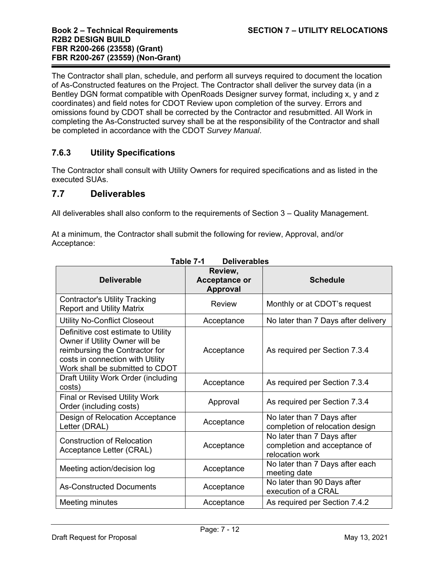The Contractor shall plan, schedule, and perform all surveys required to document the location of As-Constructed features on the Project. The Contractor shall deliver the survey data (in a Bentley DGN format compatible with OpenRoads Designer survey format, including x, y and z coordinates) and field notes for CDOT Review upon completion of the survey. Errors and omissions found by CDOT shall be corrected by the Contractor and resubmitted. All Work in completing the As-Constructed survey shall be at the responsibility of the Contractor and shall be completed in accordance with the CDOT *Survey Manual*.

# **7.6.3 Utility Specifications**

The Contractor shall consult with Utility Owners for required specifications and as listed in the executed SUAs.

### **7.7 Deliverables**

All deliverables shall also conform to the requirements of Section 3 – Quality Management.

At a minimum, the Contractor shall submit the following for review, Approval, and/or Acceptance:

| <b>Deliverable</b>                                                                                                                                                             | Review,<br><b>Acceptance or</b><br><b>Approval</b> | <b>Schedule</b>                                                               |
|--------------------------------------------------------------------------------------------------------------------------------------------------------------------------------|----------------------------------------------------|-------------------------------------------------------------------------------|
| <b>Contractor's Utility Tracking</b><br><b>Report and Utility Matrix</b>                                                                                                       | Review                                             | Monthly or at CDOT's request                                                  |
| <b>Utility No-Conflict Closeout</b>                                                                                                                                            | Acceptance                                         | No later than 7 Days after delivery                                           |
| Definitive cost estimate to Utility<br>Owner if Utility Owner will be<br>reimbursing the Contractor for<br>costs in connection with Utility<br>Work shall be submitted to CDOT | Acceptance                                         | As required per Section 7.3.4                                                 |
| Draft Utility Work Order (including<br>costs)                                                                                                                                  | Acceptance                                         | As required per Section 7.3.4                                                 |
| <b>Final or Revised Utility Work</b><br>Order (including costs)                                                                                                                | Approval                                           | As required per Section 7.3.4                                                 |
| Design of Relocation Acceptance<br>Letter (DRAL)                                                                                                                               | Acceptance                                         | No later than 7 Days after<br>completion of relocation design                 |
| Construction of Relocation<br>Acceptance Letter (CRAL)                                                                                                                         | Acceptance                                         | No later than 7 Days after<br>completion and acceptance of<br>relocation work |
| Meeting action/decision log                                                                                                                                                    | Acceptance                                         | No later than 7 Days after each<br>meeting date                               |
| <b>As-Constructed Documents</b>                                                                                                                                                | Acceptance                                         | No later than 90 Days after<br>execution of a CRAL                            |
| Meeting minutes                                                                                                                                                                | Acceptance                                         | As required per Section 7.4.2                                                 |

**Table 7-1 Deliverables**